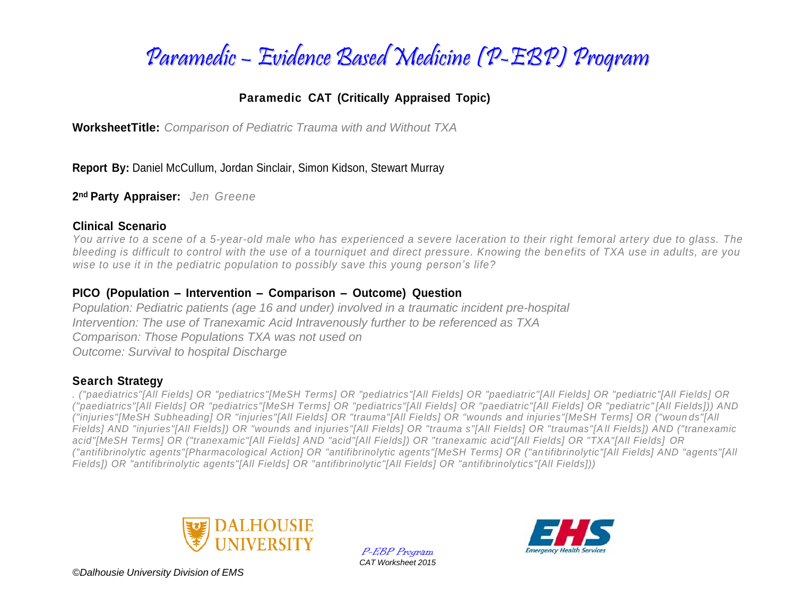

### **Paramedic CAT (Critically Appraised Topic)**

**WorksheetTitle:** *Comparison of Pediatric Trauma with and Without TXA*

**Report By:** Daniel McCullum, Jordan Sinclair, Simon Kidson, Stewart Murray

**2nd Party Appraiser:** *Jen Greene*

### **Clinical Scenario**

*You arrive to a scene of a 5-year-old male who has experienced a severe laceration to their right femoral artery due to glass. The bleeding is difficult to control with the use of a tourniquet and direct pressure. Knowing the benefits of TXA use in adults, are you wise to use it in the pediatric population to possibly save this young person's life?*

### **PICO (Population – Intervention – Comparison – Outcome) Question**

*Population: Pediatric patients (age 16 and under) involved in a traumatic incident pre-hospital Intervention: The use of Tranexamic Acid Intravenously further to be referenced as TXA Comparison: Those Populations TXA was not used on Outcome: Survival to hospital Discharge* 

### **Search Strategy**

*. ("paediatrics"[All Fields] OR "pediatrics"[MeSH Terms] OR "pediatrics"[All Fields] OR "paediatric"[All Fields] OR "pediatric"[All Fields] OR ("paediatrics"[All Fields] OR "pediatrics"[MeSH Terms] OR "pediatrics"[All Fields] OR "paediatric"[All Fields] OR "pediatric" [All Fields])) AND ("injuries"[MeSH Subheading] OR "injuries"[All Fields] OR "trauma"[All Fields] OR "wounds and injuries"[MeSH Terms] OR ("woun ds"[All Fields] AND "injuries"[All Fields]) OR "wounds and injuries"[All Fields] OR "trauma s"[All Fields] OR "traumas"[A ll Fields]) AND ("tranexamic acid"[MeSH Terms] OR ("tranexamic"[All Fields] AND "acid"[All Fields]) OR "tranexamic acid"[All Fields] OR "TXA"[All Fields] OR ("antifibrinolytic agents"[Pharmacological Action] OR "antifibrinolytic agents"[MeSH Terms] OR ("an tifibrinolytic"[All Fields] AND "agents"[All Fields]) OR "antifibrinolytic agents"[All Fields] OR "antifibrinolytic"[All Fields] OR "antifibrinolytics"[All Fields]))*



P-EBP Program *CAT Worksheet 2015*



*©Dalhousie University Division of EMS*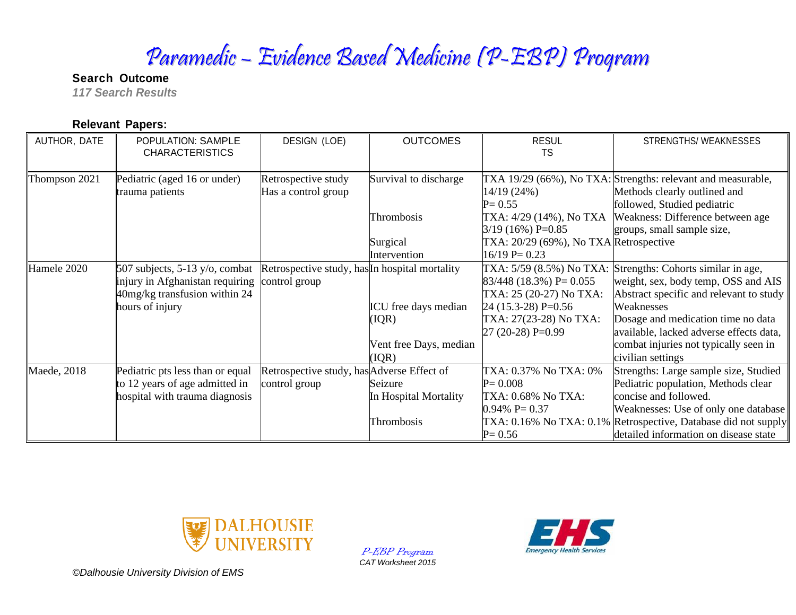# Paramedic – Evidence Based Medicine (P-EBP) Program

**Search Outcome**  *117 Search Results* 

### **Relevant Papers:**

| AUTHOR, DATE  | POPULATION: SAMPLE               | DESIGN (LOE)                                   | <b>OUTCOMES</b>        | <b>RESUL</b>                           | STRENGTHS/WEAKNESSES                                           |
|---------------|----------------------------------|------------------------------------------------|------------------------|----------------------------------------|----------------------------------------------------------------|
|               | <b>CHARACTERISTICS</b>           |                                                |                        | TS                                     |                                                                |
| Thompson 2021 | Pediatric (aged 16 or under)     | Retrospective study                            | Survival to discharge  |                                        | TXA 19/29 (66%), No TXA: Strengths: relevant and measurable,   |
|               | trauma patients                  | Has a control group                            |                        | 14/19 (24%)                            | Methods clearly outlined and                                   |
|               |                                  |                                                |                        | $P = 0.55$                             | followed, Studied pediatric                                    |
|               |                                  |                                                | Thrombosis             |                                        | TXA: 4/29 (14%), No TXA Weakness: Difference between age       |
|               |                                  |                                                |                        | $3/19(16\%)$ P=0.85                    | groups, small sample size,                                     |
|               |                                  |                                                | Surgical               | TXA: 20/29 (69%), No TXA Retrospective |                                                                |
|               |                                  |                                                | Intervention           | $16/19$ P= 0.23                        |                                                                |
| Hamele 2020   | 507 subjects, 5-13 y/o, combat   | Retrospective study, has In hospital mortality |                        |                                        | TXA: 5/59 (8.5%) No TXA: Strengths: Cohorts similar in age,    |
|               | injury in Afghanistan requiring  | control group                                  |                        | $83/448$ (18.3%) P= 0.055              | weight, sex, body temp, OSS and AIS                            |
|               | 40mg/kg transfusion within 24    |                                                |                        | TXA: 25 (20-27) No TXA:                | Abstract specific and relevant to study                        |
|               | hours of injury                  |                                                | ICU free days median   | $24(15.3-28)$ P=0.56                   | Weaknesses                                                     |
|               |                                  |                                                | (IQR)                  | TXA: 27(23-28) No TXA:                 | Dosage and medication time no data                             |
|               |                                  |                                                |                        | $27(20-28) P=0.99$                     | available, lacked adverse effects data,                        |
|               |                                  |                                                | Vent free Days, median |                                        | combat injuries not typically seen in                          |
|               |                                  |                                                | (IQR)                  |                                        | civilian settings                                              |
| Maede, 2018   | Pediatric pts less than or equal | Retrospective study, has Adverse Effect of     |                        | TXA: 0.37% No TXA: 0%                  | Strengths: Large sample size, Studied                          |
|               | to 12 years of age admitted in   | control group                                  | Seizure                | $P = 0.008$                            | Pediatric population, Methods clear                            |
|               | hospital with trauma diagnosis   |                                                | In Hospital Mortality  | TXA: 0.68% No TXA:                     | concise and followed.                                          |
|               |                                  |                                                |                        | $0.94\%$ P= 0.37                       | Weaknesses: Use of only one database                           |
|               |                                  |                                                | Thrombosis             |                                        | TXA: 0.16% No TXA: 0.1% Retrospective, Database did not supply |
|               |                                  |                                                |                        | $P = 0.56$                             | detailed information on disease state                          |



P-EBP Program *CAT Worksheet 2015*



*©Dalhousie University Division of EMS*